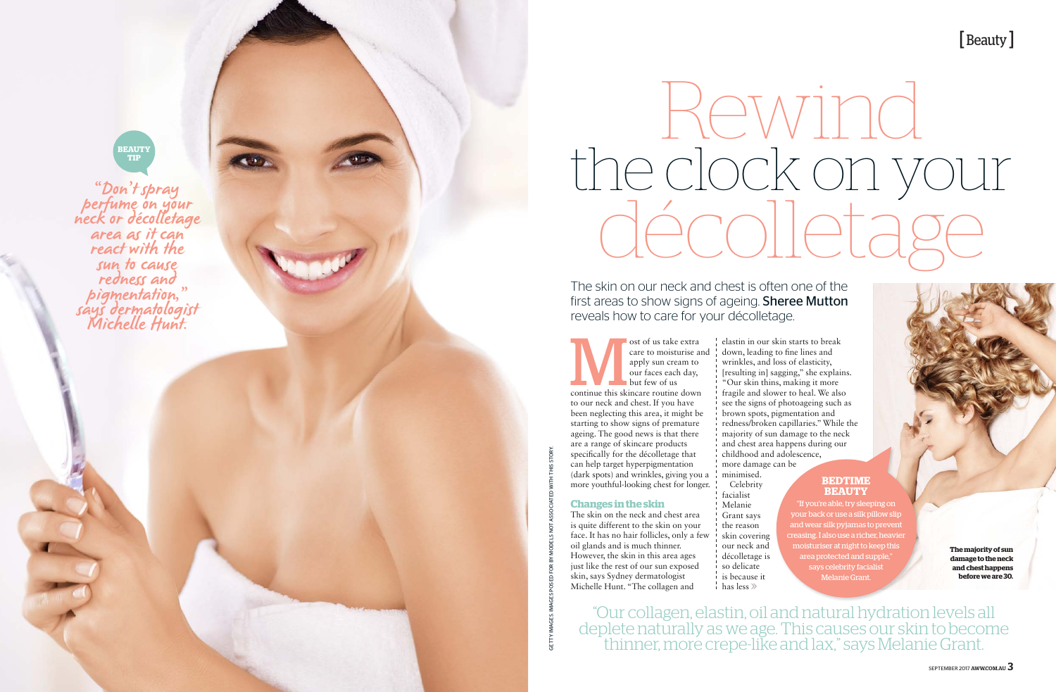care to moisturise and apply sun cream to our faces each day, but few of us continue this skincare routine down to our neck and chest. If you have been neglecting this area, it might be starting to show signs of premature ageing. The good news is that there are a range of skincare products specifically for the décolletage that can help target hyperpigmentation (dark spots) and wrinkles, giving you a more youthful-looking chest for longer.

# **Changes in the skin**

- Celebrity facialist Melanie Grant says the reason skin covering our neck and décolletage is so delicate
- is because it has less  $\gg$

# Parties 2017 Rewind<br>AWW.COM.AU SEPTEMBER<br>2017 MERIDIAN SEPTEMBER 2017<br>2017 MERIDIAN MODELS NOT ASSOCIATED WITH THIS STORY. the clock on your Rewind

The skin on the neck and chest area is quite different to the skin on your face. It has no hair follicles, only a few oil glands and is much thinner. However, the skin in this area ages just like the rest of our sun exposed skin, says Sydney dermatologist Michelle Hunt. "The collagen and

"Don't spray perfume on your<br>neck or décolletage<br>area as it can<br>react with the sun to cause<br>redness and pigmentation,"<br>says dermatologist<br>Michelle Hunt.

> elastin in our skin starts to break down, leading to fine lines and wrinkles, and loss of elasticity, [resulting in] sagging," she explains. "Our skin thins, making it more fragile and slower to heal. We also see the signs of photoageing such as brown spots, pigmentation and redness/broken capillaries." While the majority of sun damage to the neck and chest area happens during our childhood and adolescence, more damage can be minimised.



The skin on our neck and chest is often one of the first areas to show signs of ageing. **Sheree Mutton** reveals how to care for your décolletage.

> **The majority of sun damage to the neck and chest happens before we are 30.**

## **BEDTIME BEAUTY**

"If you're able, try sleeping on your back or use a silk pillow slip and wear silk pyjamas to prevent creasing. I also use a richer, heavier moisturiser at night to keep this area protected and supple," says celebrity facialist Melanie Grant.

"Our collagen, elastin, oil and natural hydration levels all deplete naturally as we age. This causes our skin to become thinner, more crepe-like and lax," says Melanie Grant.

# **BEAUTY TIP**